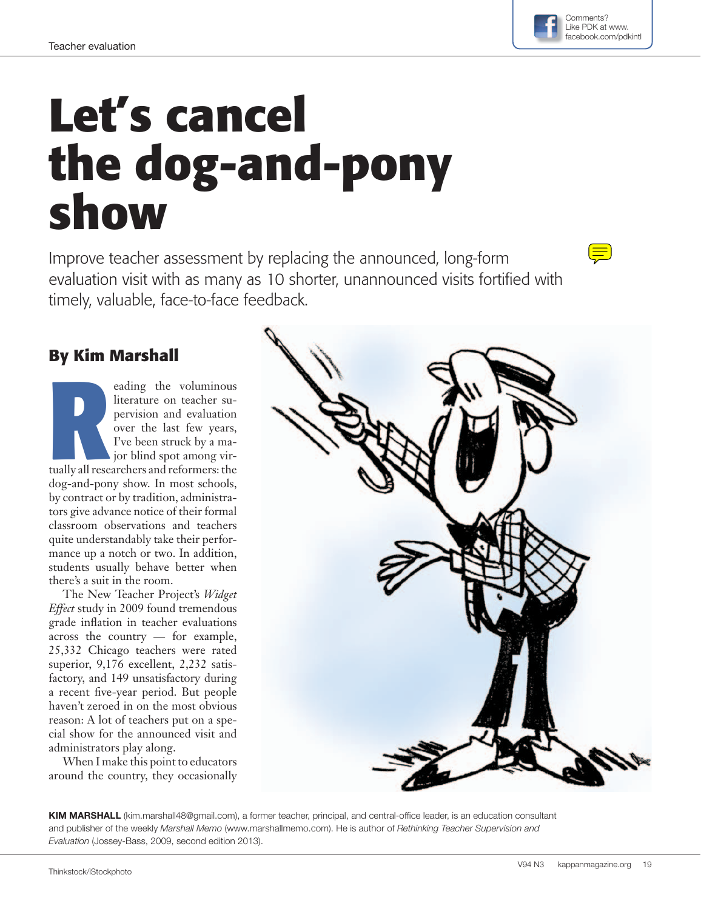

E

## **Let's cancel the dog-and-pony show**

Improve teacher assessment by replacing the announced, long-form evaluation visit with as many as 10 shorter, unannounced visits fortified with timely, valuable, face-to-face feedback.

## **By Kim Marshall**

eading the voluminous<br>
literature on teacher su-<br>
pervision and evaluation<br>
over the last few years,<br>
I've been struck by a ma-<br>
jor blind spot among vir-<br>
tually all researchers and reformers: the eading the voluminous literature on teacher supervision and evaluation over the last few years, I've been struck by a major blind spot among virdog-and-pony show. In most schools, by contract or by tradition, administrators give advance notice of their formal classroom observations and teachers quite understandably take their performance up a notch or two. In addition, students usually behave better when there's a suit in the room.

The New Teacher Project's *Widget Effect* study in 2009 found tremendous grade inflation in teacher evaluations across the country — for example, 25,332 Chicago teachers were rated superior, 9,176 excellent, 2,232 satisfactory, and 149 unsatisfactory during a recent five-year period. But people haven't zeroed in on the most obvious reason: A lot of teachers put on a special show for the announced visit and administrators play along.

When I make this point to educators around the country, they occasionally



KIM MARSHALL (kim.marshall48@gmail.com), a former teacher, principal, and central-office leader, is an education consultant and publisher of the weekly *Marshall Memo* (www.marshallmemo.com). He is author of *Rethinking Teacher Supervision and Evaluation* (Jossey-Bass, 2009, second edition 2013).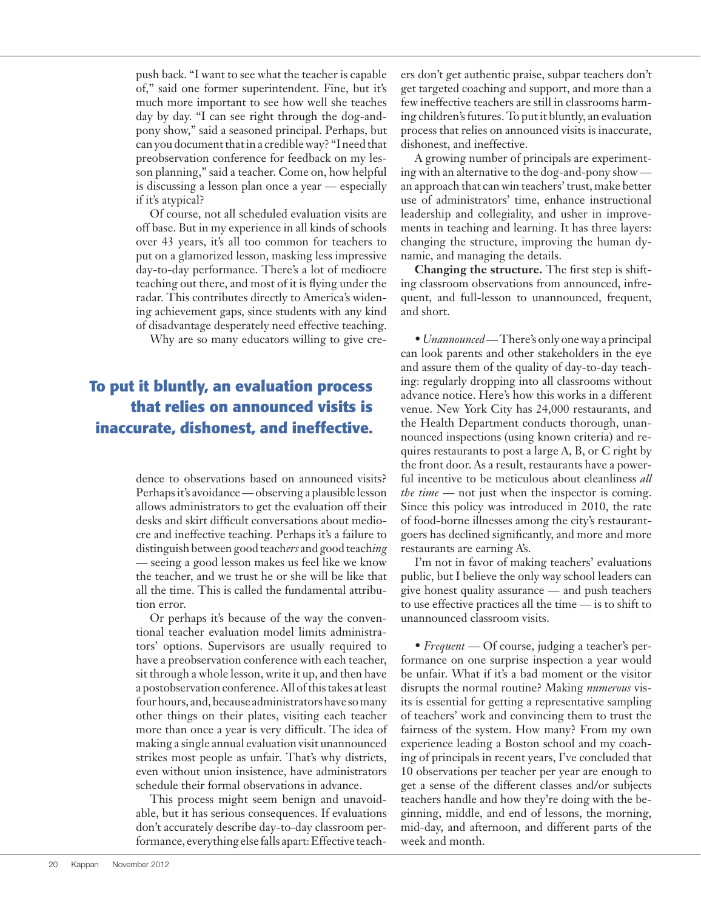push back. "I want to see what the teacher is capable of," said one former superintendent. Fine, but it's much more important to see how well she teaches day by day. "I can see right through the dog-andpony show," said a seasoned principal. Perhaps, but can you document that in a credible way? "I need that preobservation conference for feedback on my lesson planning," said a teacher. Come on, how helpful is discussing a lesson plan once a year — especially if it's atypical?

Of course, not all scheduled evaluation visits are off base. But in my experience in all kinds of schools over 43 years, it's all too common for teachers to put on a glamorized lesson, masking less impressive day-to-day performance. There's a lot of mediocre teaching out there, and most of it is flying under the radar. This contributes directly to America's widening achievement gaps, since students with any kind of disadvantage desperately need effective teaching.

Why are so many educators willing to give cre-

## **To put it bluntly, an evaluation process that relies on announced visits is inaccurate, dishonest, and ineffective.**

dence to observations based on announced visits? Perhaps it's avoidance — observing a plausible lesson allows administrators to get the evaluation off their desks and skirt difficult conversations about mediocre and ineffective teaching. Perhaps it's a failure to distinguish between good teach*ers* and good teach*ing* — seeing a good lesson makes us feel like we know the teacher, and we trust he or she will be like that all the time. This is called the fundamental attribution error.

Or perhaps it's because of the way the conventional teacher evaluation model limits administrators' options. Supervisors are usually required to have a preobservation conference with each teacher, sit through a whole lesson, write it up, and then have a postobservation conference. All of this takes at least four hours, and, because administrators have so many other things on their plates, visiting each teacher more than once a year is very difficult. The idea of making a single annual evaluation visit unannounced strikes most people as unfair. That's why districts, even without union insistence, have administrators schedule their formal observations in advance.

This process might seem benign and unavoidable, but it has serious consequences. If evaluations don't accurately describe day-to-day classroom performance, everything else falls apart: Effective teachers don't get authentic praise, subpar teachers don't get targeted coaching and support, and more than a few ineffective teachers are still in classrooms harming children's futures. To put it bluntly, an evaluation process that relies on announced visits is inaccurate, dishonest, and ineffective.

A growing number of principals are experimenting with an alternative to the dog-and-pony show an approach that can win teachers' trust, make better use of administrators' time, enhance instructional leadership and collegiality, and usher in improvements in teaching and learning. It has three layers: changing the structure, improving the human dynamic, and managing the details.

**Changing the structure.** The first step is shifting classroom observations from announced, infrequent, and full-lesson to unannounced, frequent, and short.

• *Unannounced* — There's only one way a principal can look parents and other stakeholders in the eye and assure them of the quality of day-to-day teaching: regularly dropping into all classrooms without advance notice. Here's how this works in a different venue. New York City has 24,000 restaurants, and the Health Department conducts thorough, unannounced inspections (using known criteria) and requires restaurants to post a large A, B, or C right by the front door. As a result, restaurants have a powerful incentive to be meticulous about cleanliness *all the time* — not just when the inspector is coming. Since this policy was introduced in 2010, the rate of food-borne illnesses among the city's restaurantgoers has declined significantly, and more and more restaurants are earning A's.

I'm not in favor of making teachers' evaluations public, but I believe the only way school leaders can give honest quality assurance — and push teachers to use effective practices all the time — is to shift to unannounced classroom visits.

• *Frequent* — Of course, judging a teacher's performance on one surprise inspection a year would be unfair. What if it's a bad moment or the visitor disrupts the normal routine? Making *numerous* visits is essential for getting a representative sampling of teachers' work and convincing them to trust the fairness of the system. How many? From my own experience leading a Boston school and my coaching of principals in recent years, I've concluded that 10 observations per teacher per year are enough to get a sense of the different classes and/or subjects teachers handle and how they're doing with the beginning, middle, and end of lessons, the morning, mid-day, and afternoon, and different parts of the week and month.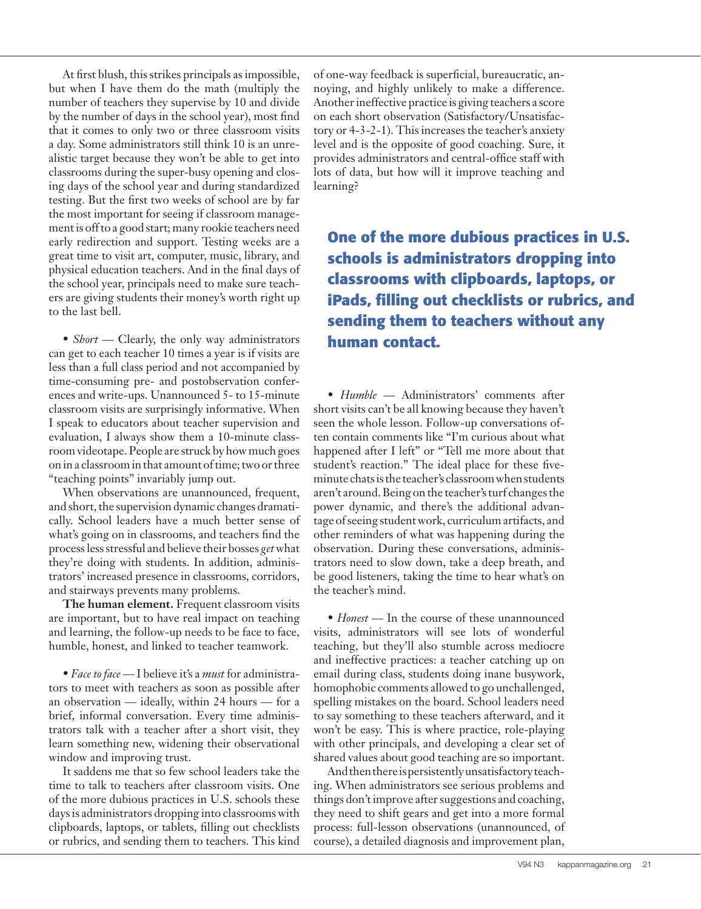At first blush, this strikes principals as impossible, but when I have them do the math (multiply the number of teachers they supervise by 10 and divide by the number of days in the school year), most find that it comes to only two or three classroom visits a day. Some administrators still think 10 is an unrealistic target because they won't be able to get into classrooms during the super-busy opening and closing days of the school year and during standardized testing. But the first two weeks of school are by far the most important for seeing if classroom management is off to a good start; many rookie teachers need early redirection and support. Testing weeks are a great time to visit art, computer, music, library, and physical education teachers. And in the final days of the school year, principals need to make sure teachers are giving students their money's worth right up to the last bell.

• *Short* — Clearly, the only way administrators can get to each teacher 10 times a year is if visits are less than a full class period and not accompanied by time-consuming pre- and postobservation conferences and write-ups. Unannounced 5- to 15-minute classroom visits are surprisingly informative. When I speak to educators about teacher supervision and evaluation, I always show them a 10-minute classroom videotape. People are struck by how much goes on in a classroom in that amount of time; two or three "teaching points" invariably jump out.

When observations are unannounced, frequent, and short, the supervision dynamic changes dramatically. School leaders have a much better sense of what's going on in classrooms, and teachers find the process less stressful and believe their bosses *get* what they're doing with students. In addition, administrators' increased presence in classrooms, corridors, and stairways prevents many problems.

**The human element.** Frequent classroom visits are important, but to have real impact on teaching and learning, the follow-up needs to be face to face, humble, honest, and linked to teacher teamwork.

• *Face to face* — I believe it's a *must* for administrators to meet with teachers as soon as possible after an observation — ideally, within 24 hours — for a brief, informal conversation. Every time administrators talk with a teacher after a short visit, they learn something new, widening their observational window and improving trust.

It saddens me that so few school leaders take the time to talk to teachers after classroom visits. One of the more dubious practices in U.S. schools these days is administrators dropping into classrooms with clipboards, laptops, or tablets, filling out checklists or rubrics, and sending them to teachers. This kind

of one-way feedback is superficial, bureaucratic, annoying, and highly unlikely to make a difference. Another ineffective practice is giving teachers a score on each short observation (Satisfactory/Unsatisfactory or 4-3-2-1). This increases the teacher's anxiety level and is the opposite of good coaching. Sure, it provides administrators and central-office staff with lots of data, but how will it improve teaching and learning?

## **One of the more dubious practices in U.S. schools is administrators dropping into classrooms with clipboards, laptops, or iPads, filling out checklists or rubrics, and sending them to teachers without any human contact.**

• *Humble* — Administrators' comments after short visits can't be all knowing because they haven't seen the whole lesson. Follow-up conversations often contain comments like "I'm curious about what happened after I left" or "Tell me more about that student's reaction." The ideal place for these fiveminute chats is the teacher's classroom when students aren't around. Being on the teacher's turf changes the power dynamic, and there's the additional advantage of seeing student work, curriculum artifacts, and other reminders of what was happening during the observation. During these conversations, administrators need to slow down, take a deep breath, and be good listeners, taking the time to hear what's on the teacher's mind.

• *Honest* — In the course of these unannounced visits, administrators will see lots of wonderful teaching, but they'll also stumble across mediocre and ineffective practices: a teacher catching up on email during class, students doing inane busywork, homophobic comments allowed to go unchallenged, spelling mistakes on the board. School leaders need to say something to these teachers afterward, and it won't be easy. This is where practice, role-playing with other principals, and developing a clear set of shared values about good teaching are so important.

And then there is persistently unsatisfactory teaching. When administrators see serious problems and things don't improve after suggestions and coaching, they need to shift gears and get into a more formal process: full-lesson observations (unannounced, of course), a detailed diagnosis and improvement plan,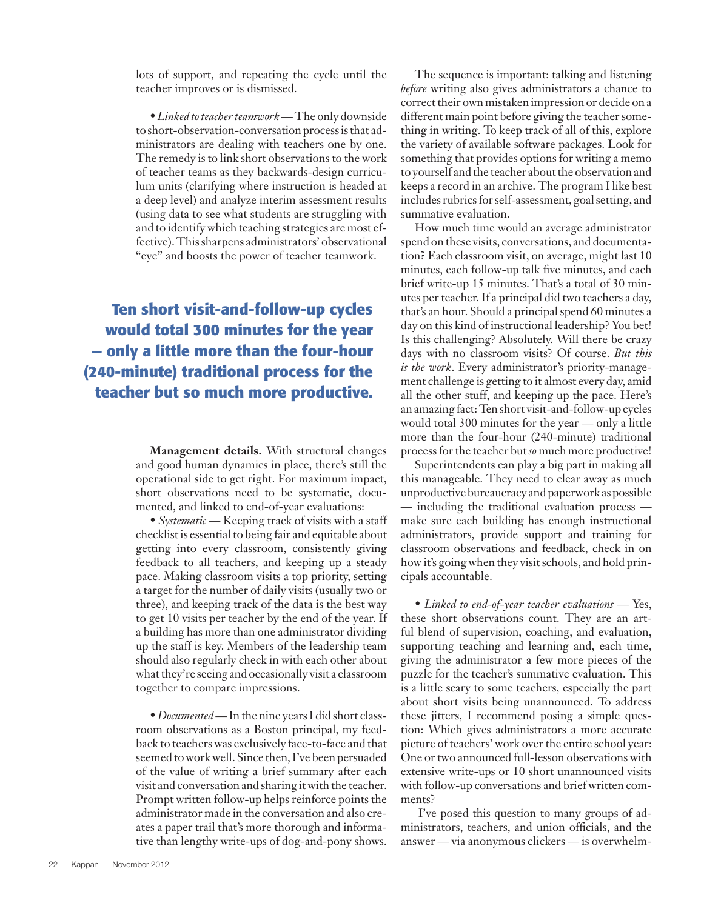lots of support, and repeating the cycle until the teacher improves or is dismissed.

• *Linked to teacher teamwork* — The only downside to short-observation-conversation process is that administrators are dealing with teachers one by one. The remedy is to link short observations to the work of teacher teams as they backwards-design curriculum units (clarifying where instruction is headed at a deep level) and analyze interim assessment results (using data to see what students are struggling with and to identify which teaching strategies are most effective). This sharpens administrators' observational "eye" and boosts the power of teacher teamwork.

**Ten short visit-and-follow-up cycles would total 300 minutes for the year — only a little more than the four-hour (240-minute) traditional process for the teacher but so much more productive.**

> **Management details.** With structural changes and good human dynamics in place, there's still the operational side to get right. For maximum impact, short observations need to be systematic, documented, and linked to end-of-year evaluations:

• *Systematic* — Keeping track of visits with a staff checklist is essential to being fair and equitable about getting into every classroom, consistently giving feedback to all teachers, and keeping up a steady pace. Making classroom visits a top priority, setting a target for the number of daily visits (usually two or three), and keeping track of the data is the best way to get 10 visits per teacher by the end of the year. If a building has more than one administrator dividing up the staff is key. Members of the leadership team should also regularly check in with each other about what they're seeing and occasionally visit a classroom together to compare impressions.

• *Documented* — In the nine years I did short classroom observations as a Boston principal, my feedback to teachers was exclusively face-to-face and that seemed to work well. Since then, I've been persuaded of the value of writing a brief summary after each visit and conversation and sharing it with the teacher. Prompt written follow-up helps reinforce points the administrator made in the conversation and also creates a paper trail that's more thorough and informative than lengthy write-ups of dog-and-pony shows.

The sequence is important: talking and listening *before* writing also gives administrators a chance to correct their own mistaken impression or decide on a different main point before giving the teacher something in writing. To keep track of all of this, explore the variety of available software packages. Look for something that provides options for writing a memo to yourself and the teacher about the observation and keeps a record in an archive. The program I like best includes rubrics for self-assessment, goal setting, and summative evaluation.

How much time would an average administrator spend on these visits, conversations, and documentation? Each classroom visit, on average, might last 10 minutes, each follow-up talk five minutes, and each brief write-up 15 minutes. That's a total of 30 minutes per teacher. If a principal did two teachers a day, that's an hour. Should a principal spend 60 minutes a day on this kind of instructional leadership? You bet! Is this challenging? Absolutely. Will there be crazy days with no classroom visits? Of course. *But this is the work*. Every administrator's priority-management challenge is getting to it almost every day, amid all the other stuff, and keeping up the pace. Here's an amazing fact: Ten short visit-and-follow-up cycles would total 300 minutes for the year — only a little more than the four-hour (240-minute) traditional process for the teacher but *so* much more productive!

Superintendents can play a big part in making all this manageable. They need to clear away as much unproductive bureaucracy and paperwork as possible — including the traditional evaluation process make sure each building has enough instructional administrators, provide support and training for classroom observations and feedback, check in on how it's going when they visit schools, and hold principals accountable.

• *Linked to end-of-year teacher evaluations* — Yes, these short observations count. They are an artful blend of supervision, coaching, and evaluation, supporting teaching and learning and, each time, giving the administrator a few more pieces of the puzzle for the teacher's summative evaluation. This is a little scary to some teachers, especially the part about short visits being unannounced. To address these jitters, I recommend posing a simple question: Which gives administrators a more accurate picture of teachers' work over the entire school year: One or two announced full-lesson observations with extensive write-ups or 10 short unannounced visits with follow-up conversations and brief written comments?

 I've posed this question to many groups of administrators, teachers, and union officials, and the answer — via anonymous clickers — is overwhelm-